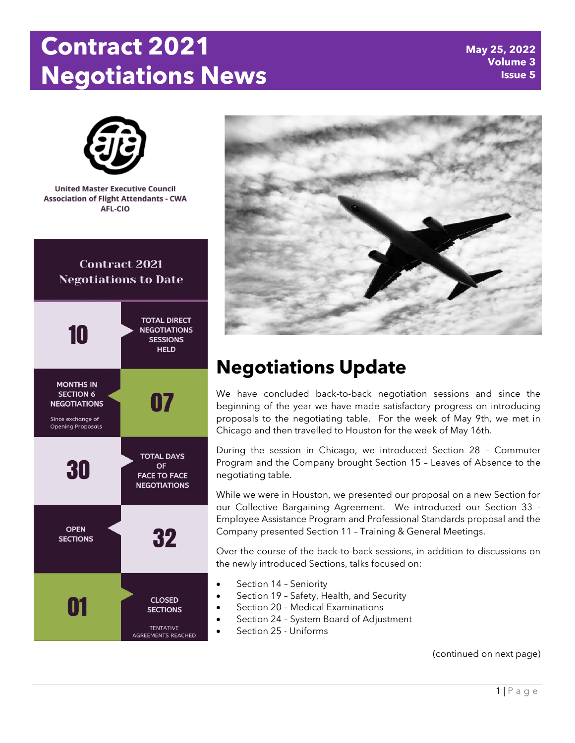# **Contract 2021 Negotiations News**





# **Negotiations Update**

We have concluded back-to-back negotiation sessions and since the beginning of the year we have made satisfactory progress on introducing proposals to the negotiating table. For the week of May 9th, we met in Chicago and then travelled to Houston for the week of May 16th.

During the session in Chicago, we introduced Section 28 – Commuter Program and the Company brought Section 15 – Leaves of Absence to the negotiating table.

While we were in Houston, we presented our proposal on a new Section for our Collective Bargaining Agreement. We introduced our Section 33 - Employee Assistance Program and Professional Standards proposal and the Company presented Section 11 – Training & General Meetings.

Over the course of the back-to-back sessions, in addition to discussions on the newly introduced Sections, talks focused on:

- Section 14 Seniority
- Section 19 Safety, Health, and Security
- Section 20 Medical Examinations
- Section 24 System Board of Adjustment
- Section 25 Uniforms

(continued on next page)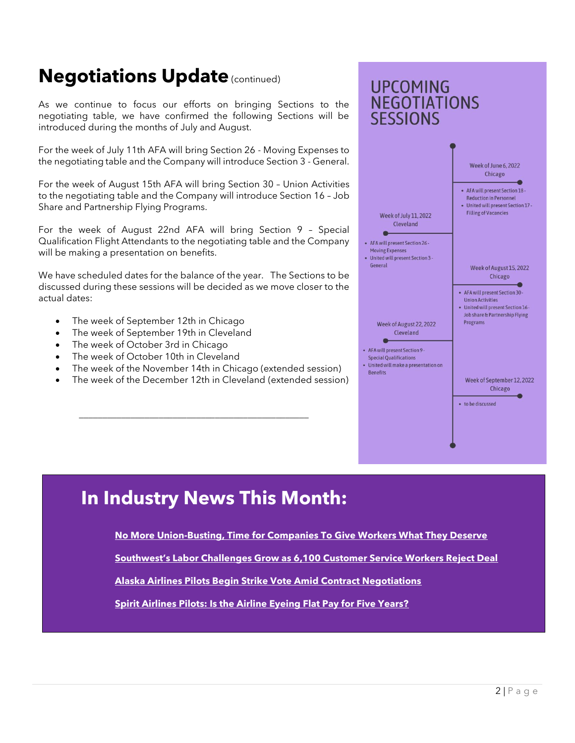### **Negotiations Update (continued)**

As we continue to focus our efforts on bringing Sections to the negotiating table, we have confirmed the following Sections will be introduced during the months of July and August.

For the week of July 11th AFA will bring Section 26 - Moving Expenses to the negotiating table and the Company will introduce Section 3 - General.

For the week of August 15th AFA will bring Section 30 – Union Activities to the negotiating table and the Company will introduce Section 16 – Job Share and Partnership Flying Programs.

For the week of August 22nd AFA will bring Section 9 – Special Qualification Flight Attendants to the negotiating table and the Company will be making a presentation on benefits.

We have scheduled dates for the balance of the year. The Sections to be discussed during these sessions will be decided as we move closer to the actual dates:

- The week of September 12th in Chicago
- The week of September 19th in Cleveland
- The week of October 3rd in Chicago
- The week of October 10th in Cleveland
- The week of the November 14th in Chicago (extended session)
- The week of the December 12th in Cleveland (extended session)

\_\_\_\_\_\_\_\_\_\_\_\_\_\_\_\_\_\_\_\_\_\_\_\_\_\_\_\_\_\_\_\_\_\_\_\_\_\_\_\_\_\_\_\_\_\_\_\_\_



### **In Industry News This Month:**

**[No More Union-Busting, Time for Companies To Give Workers What They Deserve](https://unitedafa.org/news/2022/5/17/no-more-union-busting-time-for-companies-to-give-workers-what-they-deserve)**

**[Southwest's Labor Challenges Grow as 6,100 Customer Service Workers Reject Deal](https://unitedafa.org/news/2022/5/21/southwests-labor-challenges-grow-as-6100-customer-service-workers-reject-deal)**

**[Alaska Airlines Pilots Begin Strike Vote Amid Contract Negotiations](https://unitedafa.org/news/2022/5/09/alaska-airlines-pilots-begin-strike-vote-amid-contract-negotiations)**

**[Spirit Airlines Pilots: Is the Airline Eyeing Flat Pay for Five Years?](https://unitedafa.org/news/2022/5/19/spirit-airlines-pilots-is-the-airline-eyeing-flat-pay-for-five-years)**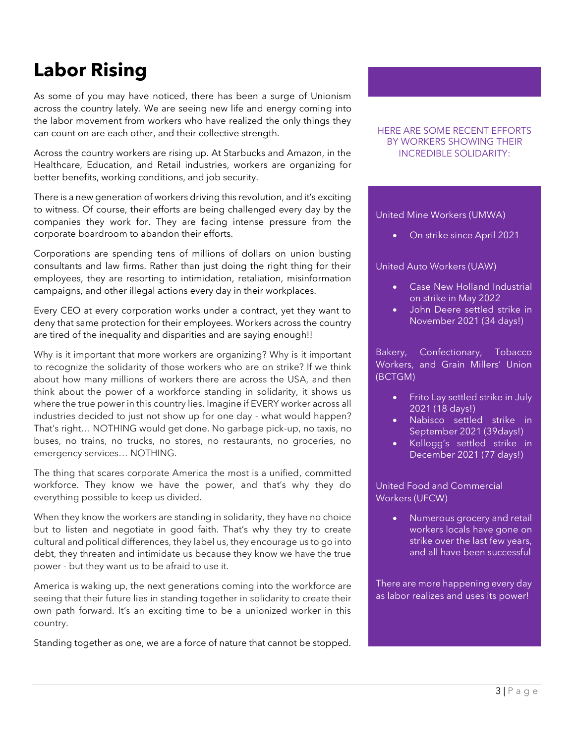### **Labor Rising**

As some of you may have noticed, there has been a surge of Unionism across the country lately. We are seeing new life and energy coming into the labor movement from workers who have realized the only things they can count on are each other, and their collective strength.

Across the country workers are rising up. At Starbucks and Amazon, in the Healthcare, Education, and Retail industries, workers are organizing for better benefits, working conditions, and job security.

There is a new generation of workers driving this revolution, and it's exciting to witness. Of course, their efforts are being challenged every day by the companies they work for. They are facing intense pressure from the corporate boardroom to abandon their efforts.

Corporations are spending tens of millions of dollars on union busting consultants and law firms. Rather than just doing the right thing for their employees, they are resorting to intimidation, retaliation, misinformation campaigns, and other illegal actions every day in their workplaces.

Every CEO at every corporation works under a contract, yet they want to deny that same protection for their employees. Workers across the country are tired of the inequality and disparities and are saying enough!!

Why is it important that more workers are organizing? Why is it important to recognize the solidarity of those workers who are on strike? If we think about how many millions of workers there are across the USA, and then think about the power of a workforce standing in solidarity, it shows us where the true power in this country lies. Imagine if EVERY worker across all industries decided to just not show up for one day - what would happen? That's right… NOTHING would get done. No garbage pick-up, no taxis, no buses, no trains, no trucks, no stores, no restaurants, no groceries, no emergency services… NOTHING.

The thing that scares corporate America the most is a unified, committed workforce. They know we have the power, and that's why they do everything possible to keep us divided.

When they know the workers are standing in solidarity, they have no choice but to listen and negotiate in good faith. That's why they try to create cultural and political differences, they label us, they encourage us to go into debt, they threaten and intimidate us because they know we have the true power - but they want us to be afraid to use it.

America is waking up, the next generations coming into the workforce are seeing that their future lies in standing together in solidarity to create their own path forward. It's an exciting time to be a unionized worker in this country.

Standing together as one, we are a force of nature that cannot be stopped.

#### HERE ARE SOME RECENT EFFORTS BY WORKERS SHOWING THEIR INCREDIBLE SOLIDARITY:

#### United Mine Workers (UMWA)

• On strike since April 2021

#### United Auto Workers (UAW)

- Case New Holland Industrial on strike in May 2022
- John Deere settled strike in November 2021 (34 days!)

Bakery, Confectionary, Tobacco Workers, and Grain Millers' Union (BCTGM)

- Frito Lay settled strike in July 2021 (18 days!)
- Nabisco settled strike in September 2021 (39days!)
- Kellogg's settled strike in December 2021 (77 days!)

United Food and Commercial Workers (UFCW)

> • Numerous grocery and retail workers locals have gone on strike over the last few years, and all have been successful

There are more happening every day as labor realizes and uses its power!